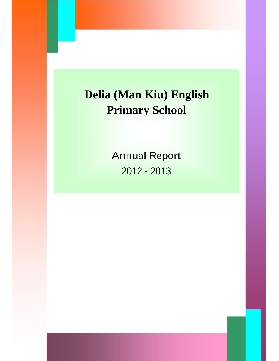# **Delia (Man Kiu) English Primary School**

Annual Report 2012 - 2013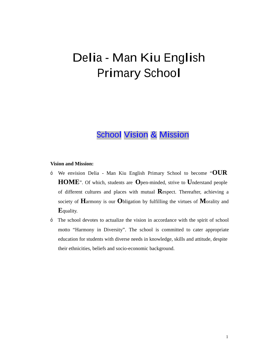# Delia - Man Kiu English Primary School

# School Vision & Mission

#### **Vision and Mission:**

- <sup>ó</sup> We envision Delia -Man Kiu English Primary School to become "**OUR HOME**". Of which, students are **O**pen-minded, strive to **U**nderstand people of different cultures and places with mutual **R**espect. Thereafter, achieving a society of **H**armony is our **O**bligation by fulfilling the virtues of **M**orality and **E**quality.
- ó The school devotes to actualize the vision in accordance with the spirit of school motto "Harmony in Diversity". The school is committed to cater appropriate education for students with diverse needs in knowledge, skills and attitude, despite their ethnicities, beliefs and socio-economic background.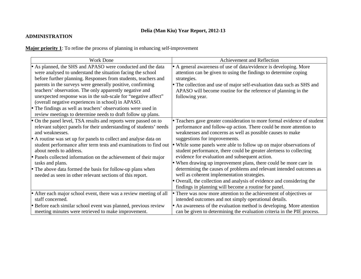# **Delia (Man Kiu) Year Report, 2012-13**

# **ADMINISTRATION**

**Major priority 1**: To refine the process of planning in enhancing self-improvement

| <b>Work Done</b>                                                                                                                                                                                                                                                                                                                                                                                                                                                                                                                                                               | Achievement and Reflection                                                                                                                                                                                                                                                                                                                                                                                                                                                                                                                                                                                                                                                                                                                                                |
|--------------------------------------------------------------------------------------------------------------------------------------------------------------------------------------------------------------------------------------------------------------------------------------------------------------------------------------------------------------------------------------------------------------------------------------------------------------------------------------------------------------------------------------------------------------------------------|---------------------------------------------------------------------------------------------------------------------------------------------------------------------------------------------------------------------------------------------------------------------------------------------------------------------------------------------------------------------------------------------------------------------------------------------------------------------------------------------------------------------------------------------------------------------------------------------------------------------------------------------------------------------------------------------------------------------------------------------------------------------------|
| • As planned, the SHS and APASO were conducted and the data<br>were analysed to understand the situation facing the school<br>before further planning. Responses from students, teachers and<br>parents in the surveys were generally positive, confirming<br>teachers' observation. The only apparently negative and<br>unexpected response was in the sub-scale for "negative affect"<br>(overall negative experiences in school) in APASO.<br>• The findings as well as teachers' observations were used in<br>review meetings to determine needs to draft follow up plans. | • A general awareness of use of data/evidence is developing. More<br>attention can be given to using the findings to determine coping<br>strategies.<br>• The collection and use of major self-evaluation data such as SHS and<br>APASO will become routine for the reference of planning in the<br>following year.                                                                                                                                                                                                                                                                                                                                                                                                                                                       |
| • On the panel level, TSA results and reports were passed on to<br>relevant subject panels for their understanding of students' needs<br>and weaknesses.<br>• A routine was set up for panels to collect and analyse data on<br>student performance after term tests and examinations to find out •<br>about needs to address.<br>• Panels collected information on the achievement of their major<br>tasks and plans.<br>• The above data formed the basis for follow-up plans when<br>needed as seen in other relevant sections of this report.                              | • Teachers gave greater consideration to more formal evidence of student<br>performance and follow-up action. There could be more attention to<br>weaknesses and concerns as well as possible causes to make<br>suggestions for improvements.<br>While some panels were able to follow up on major observations of<br>student performance, there could be greater alertness to collecting<br>evidence for evaluation and subsequent action.<br>• When drawing up improvement plans, there could be more care in<br>determining the causes of problems and relevant intended outcomes as<br>well as coherent implementation strategies.<br>• Overall, the collection and analysis of evidence and considering the<br>findings in planning will become a routine for panel. |
| • After each major school event, there was a review meeting of all<br>staff concerned.                                                                                                                                                                                                                                                                                                                                                                                                                                                                                         | • There was now more attention to the achievement of objectives or<br>intended outcomes and not simply operational details.                                                                                                                                                                                                                                                                                                                                                                                                                                                                                                                                                                                                                                               |
| • Before each similar school event was planned, previous review<br>meeting minutes were retrieved to make improvement.                                                                                                                                                                                                                                                                                                                                                                                                                                                         | • An awareness of the evaluation method is developing. More attention<br>can be given to determining the evaluation criteria in the PIE process.                                                                                                                                                                                                                                                                                                                                                                                                                                                                                                                                                                                                                          |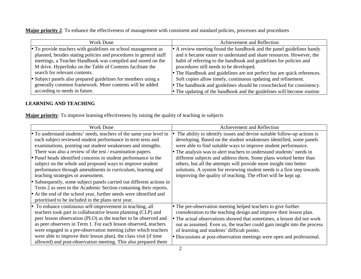**Major priority 2**: To enhance the effectiveness of management with consistent and standard policies, processes and procedures

| Work Done                                                         | Achievement and Reflection                                              |
|-------------------------------------------------------------------|-------------------------------------------------------------------------|
| • To provide teachers with guidelines on school management as     | • A review meeting found the handbook and the panel guidelines handy    |
| planned, besides stating policies and procedures in general staff | and it became easier to understand and share resources. However, the    |
| meetings, a Teacher Handbook was compiled and stored on the       | habit of referring to the handbook and guidelines for policies and      |
| M drive. Hyperlinks on the Table of Contents facilitate the       | procedures still needs to be developed.                                 |
| search for relevant contents.                                     | • The Handbook and guidelines are not perfect but are quick references. |
| • Subject panels also prepared guidelines for members using a     | Soft copies allow timely, continuous updating and refinement.           |
| generally common framework. More contents will be added           | • The handbook and guidelines should be crosschecked for consistency.   |
| according to needs in future.                                     | The updating of the handbook and the guidelines will become routine.    |

# **LEARNING AND TEACHING**

**Major priority**: To improve learning effectiveness by raising the quality of teaching in subjects

| <b>Work Done</b>                                                                                                                                                                                                                                                                                                                                                                                                                                                                                                                                                                                                                                                                                                                                                            | Achievement and Reflection                                                                                                                                                                                                                                                                                                                                                                                                                                                                                                                                                          |
|-----------------------------------------------------------------------------------------------------------------------------------------------------------------------------------------------------------------------------------------------------------------------------------------------------------------------------------------------------------------------------------------------------------------------------------------------------------------------------------------------------------------------------------------------------------------------------------------------------------------------------------------------------------------------------------------------------------------------------------------------------------------------------|-------------------------------------------------------------------------------------------------------------------------------------------------------------------------------------------------------------------------------------------------------------------------------------------------------------------------------------------------------------------------------------------------------------------------------------------------------------------------------------------------------------------------------------------------------------------------------------|
| • To understand students' needs, teachers of the same year level in<br>each subject reviewed student performance in term tests and<br>examinations, pointing out student weaknesses and strengths.<br>There was also a review of the test / examination papers.<br>• Panel heads identified concerns in student performance in the<br>subject on the whole and proposed ways to improve student<br>performance through amendments in curriculum, learning and<br>teaching strategies or assessment.<br>• Subsequently, some subject panels carried out different actions in<br>Term 2 as seen in the Academic Section containing their reports.<br>• At the end of the school year, further needs were identified and<br>prioritised to be included in the plans next year. | The ability to identify issues and devise suitable follow-up actions is<br>developing. Based on the student weaknesses identified, some panels<br>were able to find suitable ways to improve student performance.<br>• The analysis was to alert teachers to understand students' needs in<br>different subjects and address them. Some plans worked better than<br>others, but all the attempts will provide more insight into better<br>solutions. A system for reviewing student needs is a first step towards<br>improving the quality of teaching. The effort will be kept up. |
| • To enhance continuous self-improvement in teaching, all<br>teachers took part in collaborative lesson planning (CLP) and<br>peer lesson observation (PLO) as the teacher to be observed and<br>as peer observers in Term 1. For each lesson observed, teachers<br>were engaged in a pre-observation meeting (after which teachers<br>were able to improve their lesson plan), the class visit (if time<br>allowed) and post-observation meeting. This also prepared them                                                                                                                                                                                                                                                                                                  | • The pre-observation meeting helped teachers to give further<br>consideration to the teaching design and improve their lesson plan.<br>• The actual observations showed that sometimes, a lesson did not work<br>out as assumed. Even so, the teacher could gain insight into the process<br>of learning and students' difficult points.<br>• Discussions at post-observation meetings were open and professional.                                                                                                                                                                 |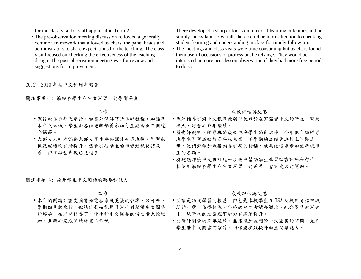| for the class visit for staff appraisal in Term 2.               | There developed a sharper focus on intended learning outcomes and not    |
|------------------------------------------------------------------|--------------------------------------------------------------------------|
| • The pre-observation meeting discussion followed a generally    | simply the syllabus. Overall, there could be more attention to checking  |
| common framework that allowed teachers, the panel heads and      | student learning and understanding in class for timely follow-up.        |
| administrators to share expectations for the teaching. The class | • The meetings and class visits were time consuming but teachers found   |
| visit focused on checking the effectiveness of the teaching      | them useful occasions of professional exchange. They would be            |
| design. The post-observation meeting was for review and          | interested in more peer lesson observation if they had more free periods |
| suggestions for improvement.                                     | to do so.                                                                |

2012-2013 年度中文科周年報告

關注事項一: 縮短各學生在中文學習上的學習差異

| 工作                          | 成效評估與反思                        |
|-----------------------------|--------------------------------|
| ● 課後輔導班每天舉行,由額外津貼聘請導師教授,加強基 | ,課外輔導班對中文根基較弱以及難於在家溫習中文的學生,幫助  |
| 本中文知識。學生由各組老師舉薦參加每星期兩至三個適   | 很大,將會於來年繼續。                    |
| 合課節。                        | ●據老師觀察,輔導班的成效視乎學生的出席率。今年低年級輔導  |
| ● 大部分老師均認為大部分學生參加課外輔導班後,學習動 | 班學生學習成效較高年級為高,下學期的成績普遍較上學期進    |
| 機及成績均有所提升,儘管有些學生的學習動機仍待改    | 步。他們對參加課後輔導班甚為積極,故應按需求增加低年級學   |
| 善,但在課堂表現已見進步。               | 生的名額。                          |
|                             | ● 有建議課後中文班可進一步集中幫助學生温習默書詞語和句子, |
|                             | 相信對縮短各學生在中文學習上的差異,會有更大的幫助。     |

關注事項二: 提升學生中文閱讀的興趣和能力

| 工作                         | 成效評估與反思                            |
|----------------------------|------------------------------------|
| ●本年的閱讀計劃受圖書館電腦系統更換的影響,只可於下 | ● 閱讀是語文學習的根基, 但也是本校學生在 TSA 及校內考核中較 |
| 學期四月起推行,但該計劃確能提升學生對閱讀中文圖書  | 弱的一環,值得關注。年終的中文考試亦顯示,配合圖書教學的       |
| 的興趣,在老師指導下,學生的中文圖書的借閱量大幅增  | 小二級學生的閱讀理解能力有顯著提升。                 |
| 加,並樂於完成閱讀計畫工作紙。            | ● 閱讀計劃會於來年延續,並建議加長閱讀中文圖書的時間,允許     |
|                            | 學生借中文圖書回家等,相信能有效提升學生閱讀能力。          |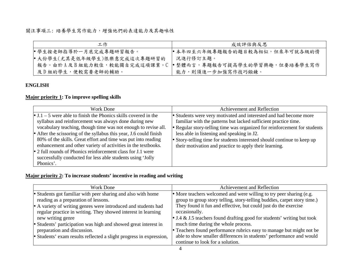關注事項三:培養學生寫作能力,增強他們的表達能力及其趣味性

| 工作                          | 成效評估與反思                                                   |
|-----------------------------|-----------------------------------------------------------|
| ● 學生按老師指導於一月底完成專題研習報告。      | ●本年四至六年級專題報告的題目較為相似,但來年可就各級的情                             |
| ●大份學生(尤其是低年級學生)很樂意完成這次專題研習的 | 況進行修訂主題。                                                  |
|                             | 報告。由於A及B組能力較佳,較能獨自完成這項課業。C ● 整體而言,專題報告可提高學生的學習興趣,但要培養學生寫作 |
| 及 D 組的學生,便較需要老師的輔助。         | 能力,則須進一步加強寫作技巧鍛鍊。                                         |

#### **ENGLISH**

# **Major priority 1: To improve spelling skills**

| Work Done                                                                                                                                                                                                                                                                                                                                                                                                                                                                                                                                    | Achievement and Reflection                                                                                                                                                                                                                                                                                                                                                                           |
|----------------------------------------------------------------------------------------------------------------------------------------------------------------------------------------------------------------------------------------------------------------------------------------------------------------------------------------------------------------------------------------------------------------------------------------------------------------------------------------------------------------------------------------------|------------------------------------------------------------------------------------------------------------------------------------------------------------------------------------------------------------------------------------------------------------------------------------------------------------------------------------------------------------------------------------------------------|
| • J.1 – 5 were able to finish the Phonics skills covered in the<br>syllabus and reinforcement was always done during new<br>vocabulary teaching, though time was not enough to revise all.<br>• After the scissoring of the syllabus this year, J.6 could finish<br>80% of the skills. Great effort and time was put into reading<br>enhancement and other variety of activities in the textbooks.<br>• 2 full rounds of Phonics reinforcement class for J.1 were<br>successfully conducted for less able students using 'Jolly<br>Phonics'. | • Students were very motivated and interested and had become more<br>familiar with the patterns but lacked sufficient practice time.<br>• Regular story-telling time was organized for reinforcement for students<br>less able in listening and speaking in J2.<br>• Story-telling time for students interested should continue to keep up<br>their motivation and practice to apply their learning. |

# **Major priority 2: To increase students' incentive in reading and writing**

| Work Done                                                           | Achievement and Reflection                                               |
|---------------------------------------------------------------------|--------------------------------------------------------------------------|
| • Students got familiar with peer sharing and also with home        | • More teachers welcomed and were willing to try peer sharing (e.g.      |
| reading as a preparation of lessons.                                | group to group story telling, story-telling buddies, carpet story time.) |
| • A variety of writing genres were introduced and students had      | They found it fun and effective, but could just do the exercise          |
| regular practice in writing. They showed interest in learning       | occasionally.                                                            |
| new writing genre                                                   | • J.4 & J.5 teachers found drafting good for students' writing but took  |
| • Students' participation was high and showed great interest in     | much time during the whole process.                                      |
| preparation and discussion.                                         | • Teachers found performance rubrics easy to manage but might not be     |
| • Students' exam results reflected a slight progress in expression, | able to show smaller differences in students' performance and would      |
|                                                                     | continue to look for a solution.                                         |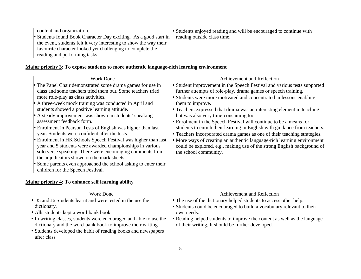| content and organization.                                          | • Students enjoyed reading and will be encouraged to continue with |
|--------------------------------------------------------------------|--------------------------------------------------------------------|
| • Students found Book Character Day exciting. As a good start in   | reading outside class time.                                        |
| the event, students felt it very interesting to show the way their |                                                                    |
| favourite character looked yet challenging to complete the         |                                                                    |
| reading and performing tasks.                                      |                                                                    |

# **Major priority 3: To expose students to more authentic language-rich learning environment**

| <b>Work Done</b>                                                                                                                                                                                                                                                                                                                                                                                                                                                 | Achievement and Reflection                                                                                                                                                                                                                                                                                                                                                                           |
|------------------------------------------------------------------------------------------------------------------------------------------------------------------------------------------------------------------------------------------------------------------------------------------------------------------------------------------------------------------------------------------------------------------------------------------------------------------|------------------------------------------------------------------------------------------------------------------------------------------------------------------------------------------------------------------------------------------------------------------------------------------------------------------------------------------------------------------------------------------------------|
| • The Panel Chair demonstrated some drama games for use in<br>class and some teachers tried them out. Some teachers tried<br>more role-play as class activities.<br>• A three-week mock training was conducted in April and<br>students showed a positive learning attitude.<br>• A steady improvement was shown in students' speaking<br>assessment feedback form.                                                                                              | • Student improvement in the Speech Festival and various tests supported<br>further attempts of role-play, drama games or speech training.<br>• Students were more motivated and concentrated in lessons enabling<br>them to improve.<br>Teachers expressed that drama was an interesting element in teaching<br>but was also very time-consuming too.                                               |
| • Enrolment in Pearson Tests of English was higher than last<br>year. Students were confident after the tests.<br>• Enrolment in HK Schools Speech Festival was higher than last<br>year and 5 students were awarded championships in various<br>solo verse speaking. There were encouraging comments from<br>the adjudicators shown on the mark sheets.<br>• Some parents even approached the school asking to enter their<br>children for the Speech Festival. | Enrolment in the Speech Festival will continue to be a means for<br>students to enrich their learning in English with guidance from teachers.<br>Teachers incorporated drama games as one of their teaching strategies.<br>More ways of creating an authentic language-rich learning environment<br>could be explored, e.g., making use of the strong English background of<br>the school community. |

# **Major priority 4: To enhance self learning ability**

| Work Done                                                          | Achievement and Reflection                                               |
|--------------------------------------------------------------------|--------------------------------------------------------------------------|
| • J5 and J6 Students learnt and were tested in the use the         | • The use of the dictionary helped students to access other help.        |
| dictionary.                                                        | • Students could be encouraged to build a vocabulary relevant to their   |
| • Alls students kept a word-bank book.                             | own needs.                                                               |
| • In writing classes, students were encouraged and able to use the | • Reading helped students to improve the content as well as the language |
| dictionary and the word-bank book to improve their writing.        | of their writing. It should be further developed.                        |
| • Students developed the habit of reading books and newspapers     |                                                                          |
| after class                                                        |                                                                          |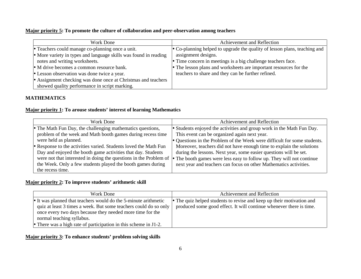#### **Major priority 5: To promote the culture of collaboration and peer-observation among teachers**

| Work Done                                                        | Achievement and Reflection                                                |
|------------------------------------------------------------------|---------------------------------------------------------------------------|
| • Teachers could manage co-planning once a unit.                 | • Co-planning helped to upgrade the quality of lesson plans, teaching and |
| • More variety in types and language skills was found in reading | assignment designs.                                                       |
| notes and writing worksheets.                                    | • Time concern in meetings is a big challenge teachers face.              |
| • M drive becomes a common resource bank.                        | • The lesson plans and worksheets are important resources for the         |
| • Lesson observation was done twice a year.                      | teachers to share and they can be further refined.                        |
| • Assignment checking was done once at Christmas and teachers    |                                                                           |
| showed quality performance in script marking.                    |                                                                           |

## **MATHEMATICS**

#### **Major priority 1: To arouse students' interest of learning Mathematics**

| Work Done                                                        | Achievement and Reflection                                                                                                                      |
|------------------------------------------------------------------|-------------------------------------------------------------------------------------------------------------------------------------------------|
| • The Math Fun Day, the challenging mathematics questions,       | • Students enjoyed the activities and group work in the Math Fun Day.                                                                           |
| problem of the week and Math booth games during recess time      | This event can be organized again next year.                                                                                                    |
| were held as planned.                                            | • Questions in the Problem of the Week were difficult for some students.                                                                        |
| • Response to the activities varied. Students loved the Math Fun | Moreover, teachers did not have enough time to explain the solutions                                                                            |
| Day and enjoyed the booth game activities that day. Students     | during the lessons. Next year, some easier questions will be set.                                                                               |
|                                                                  | were not that interested in doing the questions in the Problem of $\bullet$ The booth games were less easy to follow up. They will not continue |
| the Week. Only a few students played the booth games during      | next year and teachers can focus on other Mathematics activities.                                                                               |
| the recess time.                                                 |                                                                                                                                                 |

### **Major priority 2: To improve students' arithmetic skill**

| Work Done                                                                                                                                                                                                                     | Achievement and Reflection                                                                                                                   |
|-------------------------------------------------------------------------------------------------------------------------------------------------------------------------------------------------------------------------------|----------------------------------------------------------------------------------------------------------------------------------------------|
| • It was planned that teachers would do the 5-minute arithmetic<br>quiz at least 3 times a week. But some teachers could do so only<br>once every two days because they needed more time for the<br>normal teaching syllabus. | • The quiz helped students to revise and keep up their motivation and<br>produced some good effect. It will continue whenever there is time. |
| • There was a high rate of participation in this scheme in $J1-2$ .                                                                                                                                                           |                                                                                                                                              |

#### **Major priority 3: To enhance students' problem solving skills**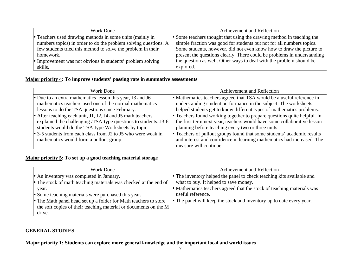| Work Done                                                       | Achievement and Reflection                                              |
|-----------------------------------------------------------------|-------------------------------------------------------------------------|
| • Teachers used drawing methods in some units (mainly in        | • Some teachers thought that using the drawing method in teaching the   |
| numbers topics) in order to do the problem solving questions. A | simple fraction was good for students but not for all numbers topics.   |
| few students tried this method to solve the problem in their    | Some students, however, did not even know how to draw the picture to    |
| homework.                                                       | present the questions clearly. There could be problems in understanding |
| Improvement was not obvious in students' problem solving        | the question as well. Other ways to deal with the problem should be     |
| skills.                                                         | explored.                                                               |

#### **Major priority 4: To improve students' passing rate in summative assessments**

| Work Done                                                       | Achievement and Reflection                                               |
|-----------------------------------------------------------------|--------------------------------------------------------------------------|
| • Due to an extra mathematics lesson this year, J3 and J6       | • Mathematics teachers agreed that TSA would be a useful reference in    |
| mathematics teachers used one of the normal mathematics         | understanding student performance in the subject. The worksheets         |
| lessons to do the TSA questions since February.                 | helped students get to know different types of mathematics problems.     |
| • After teaching each unit, J1, J2, J4 and J5 math teachers     | • Teachers found working together to prepare questions quite helpful. In |
| explained the challenging /TSA-type questions to students. J3-6 | the first term next year, teachers would have some collaborative lesson  |
| students would do the TSA-type Worksheets by topic.             | planning before teaching every two or three units.                       |
| • 3-5 students from each class from J2 to J5 who were weak in   | Teachers of pullout groups found that some students' academic results    |
| mathematics would form a pullout group.                         | and interest and confidence in learning mathematics had increased. The   |
|                                                                 | measure will continue.                                                   |

# **Major priority 5: To set up a good teaching material storage**

| Work Done                                                        | Achievement and Reflection                                             |
|------------------------------------------------------------------|------------------------------------------------------------------------|
| • An inventory was completed in January.                         | • The inventory helped the panel to check teaching kits available and  |
| • The stock of math teaching materials was checked at the end of | what to buy. It helped to save money.                                  |
| year.                                                            | • Mathematics teachers agreed that the stock of teaching materials was |
| • Some teaching materials were purchased this year.              | useful reference.                                                      |
| • The Math panel head set up a folder for Math teachers to store | • The panel will keep the stock and inventory up to date every year.   |
| the soft copies of their teaching material or documents on the M |                                                                        |
| drive.                                                           |                                                                        |

### **GENERAL STUDIES**

**Major priority 1: Students can explore more general knowledge and the important local and world issues**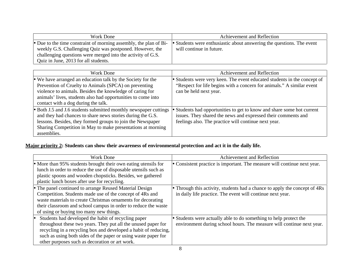| Work Done                                                         | Achievement and Reflection                                            |
|-------------------------------------------------------------------|-----------------------------------------------------------------------|
| • Due to the time constraint of morning assembly, the plan of Bi- | • Students were enthusiastic about answering the questions. The event |
| weekly G.S. Challenging Quiz was postponed. However, the          | will continue in future.                                              |
| challenging questions were merged into the activity of G.S.       |                                                                       |
| Quiz in June, 2013 for all students.                              |                                                                       |

| Work Done                                                        | Achievement and Reflection                                               |
|------------------------------------------------------------------|--------------------------------------------------------------------------|
| • We have arranged an education talk by the Society for the      | • Students were very keen. The event educated students in the concept of |
| Prevention of Cruelty to Animals (SPCA) on preventing            | "Respect for life begins with a concern for animals." A similar event    |
| violence to animals. Besides the knowledge of caring for         | can be held next year.                                                   |
| animals' lives, students also had opportunities to come into     |                                                                          |
| contact with a dog during the talk.                              |                                                                          |
| • Both J.5 and J.6 students submitted monthly newspaper cuttings | • Students had opportunities to get to know and share some hot current   |
| and they had chances to share news stories during the G.S.       | issues. They shared the news and expressed their comments and            |
| lessons. Besides, they formed groups to join the Newspaper       | feelings also. The practice will continue next year.                     |
| Sharing Competition in May to make presentations at morning      |                                                                          |
| assemblies.                                                      |                                                                          |

# **Major priority 2: Students can show their awareness of environmental protection and act it in the daily life.**

| Work Done                                                       | Achievement and Reflection                                               |
|-----------------------------------------------------------------|--------------------------------------------------------------------------|
| • More than 95% students brought their own eating utensils for  | Consistent practice is important. The measure will continue next year.   |
| lunch in order to reduce the use of disposable utensils such as |                                                                          |
| plastic spoons and wooden chopsticks. Besides, we gathered      |                                                                          |
| plastic lunch boxes after use for recycling.                    |                                                                          |
| • The panel continued to arrange Reused Material Design         | Through this activity, students had a chance to apply the concept of 4Rs |
| Competition. Students made use of the concept of 4Rs and        | in daily life practice. The event will continue next year.               |
| waste materials to create Christmas ornaments for decorating    |                                                                          |
| their classroom and school campus in order to reduce the waste  |                                                                          |
| of using or buying too many new things.                         |                                                                          |
| Students had developed the habit of recycling paper             | • Students were actually able to do something to help protect the        |
| throughout these two years. They put all the unused paper for   | environment during school hours. The measure will continue next year.    |
| recycling in a recycling box and developed a habit of reducing, |                                                                          |
| such as using both sides of the paper or using waste paper for  |                                                                          |
| other purposes such as decoration or art work.                  |                                                                          |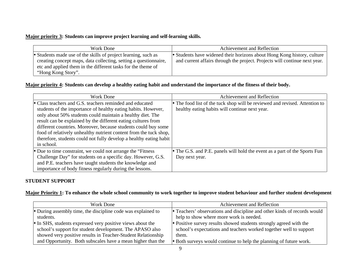# **Major priority 3: Students can improve project learning and self-learning skills.**

| Work Done                                                        | Achievement and Reflection                                                 |
|------------------------------------------------------------------|----------------------------------------------------------------------------|
| • Students made use of the skills of project learning, such as   | • Students have widened their horizons about Hong Kong history, culture    |
| creating concept maps, data collecting, setting a questionnaire, | and current affairs through the project. Projects will continue next year. |
| etc and applied them in the different tasks for the theme of     |                                                                            |
| "Hong Kong Story".                                               |                                                                            |

# **Major priority 4: Students can develop a healthy eating habit and understand the importance of the fitness of their body.**

| Work Done                                                          | Achievement and Reflection                                                  |
|--------------------------------------------------------------------|-----------------------------------------------------------------------------|
| • Class teachers and G.S. teachers reminded and educated           | • The food list of the tuck shop will be reviewed and revised. Attention to |
| students of the importance of healthy eating habits. However,      | healthy eating habits will continue next year.                              |
| only about 50% students could maintain a healthy diet. The         |                                                                             |
| result can be explained by the different eating cultures from      |                                                                             |
| different countries. Moreover, because students could buy some     |                                                                             |
| food of relatively unhealthy nutrient content from the tuck shop,  |                                                                             |
| therefore, students could not fully develop a healthy eating habit |                                                                             |
| in school.                                                         |                                                                             |
| • Due to time constraint, we could not arrange the "Fitness"       | • The G.S. and P.E. panels will hold the event as a part of the Sports Fun  |
| Challenge Day" for students on a specific day. However, G.S.       | Day next year.                                                              |
| and P.E. teachers have taught students the knowledge and           |                                                                             |
| importance of body fitness regularly during the lessons.           |                                                                             |

#### **STUDENT SUPPORT**

**Major Priority 1: To enhance the whole school community to work together to improve student behaviour and further student development**

| Work Done                                                    | Achievement and Reflection                                               |
|--------------------------------------------------------------|--------------------------------------------------------------------------|
| • During assembly time, the discipline code was explained to | • Teachers' observations and discipline and other kinds of records would |
| students.                                                    | help to show where more work is needed.                                  |
| • In SHS, students expressed very positive views about the   | • Positive survey results showed students strongly agreed with the       |
| school's support for student development. The APASO also     | school's expectations and teachers worked together well to support       |
| showed very positive results in Teacher-Student Relationship | them.                                                                    |
| and Opportunity. Both subscales have a mean higher than the  | • Both surveys would continue to help the planning of future work.       |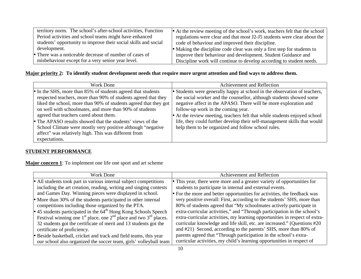| territory norm. The school's after-school activities, Function<br>Period activities and school teams might have enhanced<br>students' opportunity to improve their social skills and social | • At the review meeting of the school's work, teachers felt that the school<br>regulations were clear and that most J2-J5 students were clear about the<br>code of behaviour and improved their discipline. |
|---------------------------------------------------------------------------------------------------------------------------------------------------------------------------------------------|-------------------------------------------------------------------------------------------------------------------------------------------------------------------------------------------------------------|
| development.                                                                                                                                                                                | • Making the discipline code clear was only a first step for students to                                                                                                                                    |
| • There was a noticeable decrease of number of cases of                                                                                                                                     | improve their behaviour and development. Student Guidance and                                                                                                                                               |
| misbehaviour except for a very senior year level.                                                                                                                                           | Discipline work will continue to develop according to student needs.                                                                                                                                        |

## **Major priority 2: To identify student development needs that require more urgent attention and find ways to address them.**

| Work Done                                                        | Achievement and Reflection                                                |  |
|------------------------------------------------------------------|---------------------------------------------------------------------------|--|
| • In the SHS, more than 85% of students agreed that students     | • Students were generally happy at school in the observation of teachers, |  |
| respected teachers, more than 90% of students agreed that they   | the social worker and the counsellor, although students showed some       |  |
| liked the school, more than 90% of students agreed that they got | negative affect in the APASO. There will be more exploration and          |  |
| on well with schoolmates, and more than 90% of students          | follow-up work in the coming year.                                        |  |
| agreed that teachers cared about them.                           | • At the review meeting, teachers felt that while students enjoyed school |  |
| • The APASO results showed that the students' views of the       | life, they could further develop their self-management skills that would  |  |
| School Climate were mostly very positive although "negative"     | help them to be organized and follow school rules.                        |  |
| affect" was relatively high. This was different from             |                                                                           |  |
| expectations.                                                    |                                                                           |  |

# **STUDENT PERFORMANCE**

**Major concern 1**: To implement one life one sport and art scheme

| Work Done                                                                   | Achievement and Reflection                                                  |  |  |
|-----------------------------------------------------------------------------|-----------------------------------------------------------------------------|--|--|
| • All students took part in various internal subject competitions           | • This year, there were more and a greater variety of opportunities for     |  |  |
| including the art creation, reading, writing and singing contests           | students to participate in internal and external events.                    |  |  |
| and Games Day. Winning pieces were displayed in school.                     | • For the more and better opportunities for activities, the feedback was    |  |  |
| • More than 30% of the students participated in other internal              | very positive overall: First, according to the students' SHS, more than     |  |  |
| competitions including those organized by the PTA.                          | 80% of students agreed that "My schoolmates actively participate in         |  |  |
| • 45 students participated in the $64^{\text{th}}$ Hong Kong Schools Speech | extra-curricular activities," and "Through participation in the school's    |  |  |
| Festival winning one $1st$ place, one $2nd$ place and two $3rd$ places.     | extra-curricular activities, my learning opportunities in respect of extra- |  |  |
| 32 students got the certificate of merit and 13 students got the            | curricular knowledge and life skill, etc. are increased." (Questions #20)   |  |  |
| certificate of proficiency.                                                 | and #21) Second, according to the parents' SHS, more than 80% of            |  |  |
| Beside basketball, cricket and track and field teams, this year             | parents agreed that "Through participation in the school's extra-           |  |  |
| our school also organized the soccer team, girls' volleyball team           | curricular activities, my child's learning opportunities in respect of      |  |  |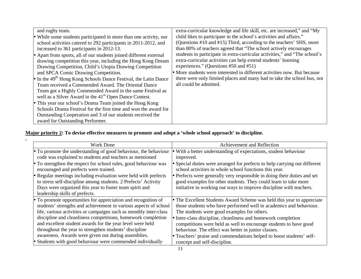| and rugby team.                                                                                                                                                                                                                                                               | extra-curricular knowledge and life skill, etc. are increased," and "My                           |
|-------------------------------------------------------------------------------------------------------------------------------------------------------------------------------------------------------------------------------------------------------------------------------|---------------------------------------------------------------------------------------------------|
| • While some students participated in more than one activity, our                                                                                                                                                                                                             | child likes to participate in the school's activities and affairs."                               |
| school activities catered to 292 participants in 2011-2012, and                                                                                                                                                                                                               | (Questions #10 and #15) Third, according to the teachers' SHS, more                               |
| increased to 361 participants in 2012-13.                                                                                                                                                                                                                                     | than 80% of teachers agreed that "The school actively encourages                                  |
| • Apart from sports, all of our students joined different external                                                                                                                                                                                                            | students to participate in extra-curricular activities," and "The school's                        |
| drawing competition this year, including the Hong Kong Dream                                                                                                                                                                                                                  | extra-curricular activities can help extend students' learning                                    |
| Drawing Competition, Child's Utopia Drawing Competition                                                                                                                                                                                                                       | experiences." (Questions #50 and #51)                                                             |
| and SPCA Comic Drawing Competition.                                                                                                                                                                                                                                           | • More students were interested in different activities now. But because                          |
| $\bullet$ In the 49 <sup>th</sup> Hong Kong Schools Dance Festival, the Latin Dance<br>Team received a Commended Award. The Oriental Dance<br>Team got a Highly Commended Award in the same Festival as<br>well as a Silver Award in the 41 <sup>st</sup> Open Dance Contest. | there were only limited places and many had to take the school bus, not<br>all could be admitted. |
| • This year our school's Drama Team joined the Hong Kong<br>Schools Drama Festival for the first time and won the award for<br>Outstanding Cooperation and 3 of our students received the<br>award for Outstanding Performer.                                                 |                                                                                                   |

#### **Major priority 2: To devise effective measures to promote and adopt a 'whole school approach' to discipline.**

| Work Done                                                                                                                                                                                                                      | Achievement and Reflection                                                                                                                                                                                         |  |
|--------------------------------------------------------------------------------------------------------------------------------------------------------------------------------------------------------------------------------|--------------------------------------------------------------------------------------------------------------------------------------------------------------------------------------------------------------------|--|
| • To promote the understanding of good behaviour, the behaviour                                                                                                                                                                | With a better understanding of expectations, student behaviour                                                                                                                                                     |  |
| code was explained to students and teachers as mentioned                                                                                                                                                                       | improved.                                                                                                                                                                                                          |  |
| • To strengthen the respect for school rules, good behaviour was                                                                                                                                                               | • Special duties were arranged for prefects to help carrying out different                                                                                                                                         |  |
| encouraged and prefects were trained.                                                                                                                                                                                          | school activities in whole school functions this year.                                                                                                                                                             |  |
| • Regular meetings including evaluation were held with prefects<br>to stress self-discipline among students. 2 Prefects' Activity<br>Days were organized this year to foster team spirit and<br>leadership skills of prefects. | • Prefects were generally very responsible in doing their duties and set<br>good examples for other students. They could learn to take more<br>initiative in working out ways to improve discipline with teachers. |  |
| • To promote opportunities for appreciation and recognition of                                                                                                                                                                 | • The Excellent Students Award Scheme was held this year to appreciate                                                                                                                                             |  |
| students' strengths and achievement in various aspects of school                                                                                                                                                               | those students who have performed well in academics and behaviour.                                                                                                                                                 |  |
| life, various activities or campaigns such as monthly inter-class                                                                                                                                                              | The students were good examples for others.                                                                                                                                                                        |  |
| discipline and cleanliness competitions, homework completion                                                                                                                                                                   | • Inter-class discipline, cleanliness and homework completion                                                                                                                                                      |  |
| and excellent student awards for the year level were held                                                                                                                                                                      | competitions were held as well to encourage students to have good                                                                                                                                                  |  |
| throughout the year to strengthen students' discipline                                                                                                                                                                         | behaviour. The effect was better in junior classes.                                                                                                                                                                |  |
| awareness. Awards were given out during assemblies.                                                                                                                                                                            | • Teachers' praise and commendations helped to boost students' self-                                                                                                                                               |  |
| Students with good behaviour were commended individually                                                                                                                                                                       | concept and self-discipline.                                                                                                                                                                                       |  |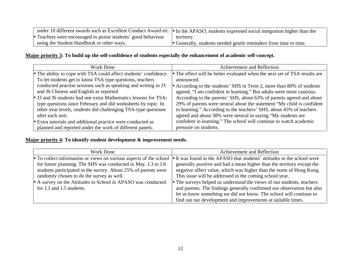|                                                               | under 10 different awards such as Excellent Conduct Award etc. $\bullet$ In the APASO, students expressed social integration higher than the |
|---------------------------------------------------------------|----------------------------------------------------------------------------------------------------------------------------------------------|
| • Teachers were encouraged to praise students' good behaviour | territory.                                                                                                                                   |
| using the Student Handbook or other ways.                     | • Generally, students needed gentle reminders from time to time.                                                                             |

#### **Major priority 3: To build up the self-confidence of students especially the enhancement of academic self-concept.**

| Work Done                                                                                                                             | Achievement and Reflection                                                 |  |  |
|---------------------------------------------------------------------------------------------------------------------------------------|----------------------------------------------------------------------------|--|--|
| • The ability to cope with TSA could affect students' confidence.                                                                     | • The effect will be better evaluated when the next set of TSA results are |  |  |
| To let students get to know TSA type questions, teachers                                                                              | announced.                                                                 |  |  |
| conducted practise sessions such as speaking and writing in J3                                                                        | • According to the students' SHS in Term 2, more than 80% of students      |  |  |
| and J6 Chinese and English as reported                                                                                                | agreed, "I am confident in learning." But adults were more cautious.       |  |  |
| • J3 and J6 students had one extra Mathematics lessons for TSA-                                                                       | According to the parents' SHS, about 63% of parents agreed and about       |  |  |
| type questions since February and did worksheets by topic. In                                                                         | 29% of parents were neutral about the statement "My child is confident"    |  |  |
| in learning." According to the teachers' SHS, about 45% of teachers<br>other year levels, students did challenging TSA-type questions |                                                                            |  |  |
| after each unit.                                                                                                                      | agreed and about 38% were neutral in saying "My students are               |  |  |
| • Extra tutorials and additional practice were conducted as                                                                           | confident in learning." The school will continue to watch academic         |  |  |
| planned and reported under the work of different panels.                                                                              | pressure on students.                                                      |  |  |

#### **Major priority 4: To identify student development & improvement needs.**

| Work Done                                                          | Achievement and Reflection                                              |  |
|--------------------------------------------------------------------|-------------------------------------------------------------------------|--|
| • To collect information or views on various aspects of the school | • It was found in the APASO that students' attitudes to the school were |  |
| for future planning. The SHS was conducted in May. J.3 to J.6      | generally positive and had a mean higher than the territory except the  |  |
| students participated in the survey. About 25% of parents were     | negative affect value, which was higher than the norm of Hong Kong.     |  |
| randomly chosen to do the survey as well.                          | This issue will be addressed in the coming school year.                 |  |
| • A survey on the Attitudes to School in APASO was conducted       | • The surveys helped us understand the views of our students, teachers  |  |
| for J.3 and J.5 students.                                          | and parents. The findings generally confirmed our observation but also  |  |
|                                                                    | let us know something we did not know. The school will continue to      |  |
| find out our development and improvements at suitable times.       |                                                                         |  |